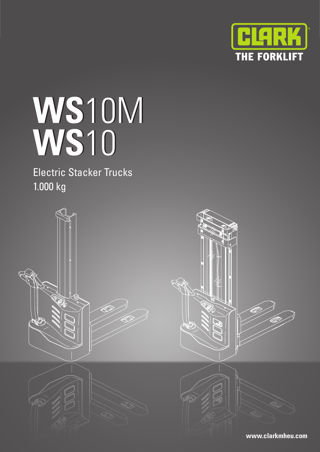

# **WS**10M **WS**10

Electric Stacker Trucks 1.000 kg

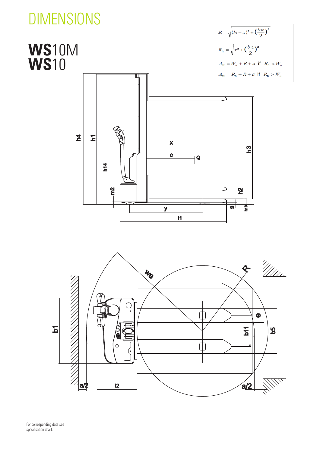# DIMENSIONS

### $R = \sqrt{(l6 - x)^2 + (\frac{b_{12}}{2})^2}$ **WS**10M  $R_h = \sqrt{x^2 + (\frac{b_{12}}{2})^2}$ **WS**10  $A_{\rm st} = W_a + R + a$  if  $R_h < W_a$  $A_{\rm st} = R_{\rm h} + R + a$  if  $R_{\rm h} > W_a$  $\mathbf{\Sigma}$ Σ X h3 $\mathbf C$  $\overline{\mathbf{Q}}$  $h14$  $m2$  $\overline{\mathbf{S}}$  $\overline{\mathbf{w}}$  $\overline{\mathbf{r}}$  $\overline{\mathbf{y}}$  $\mathbf{I}$



For corresponding data see specification chart.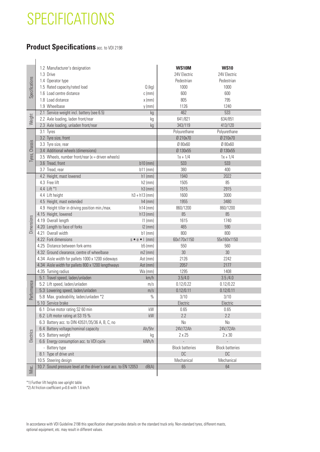## **SPECIFICATIONS**

### **Product Specifications** acc. to VDI 2198

|                | 1.2 Manufacturer's designation                                  |                              | <b>WS10M</b>           | <b>WS10</b>            |
|----------------|-----------------------------------------------------------------|------------------------------|------------------------|------------------------|
|                | 1.3 Drive                                                       |                              | 24V Electric           | 24V Electric           |
| Specifications | 1.4 Operator type                                               |                              | Pedestrian             | Pedestrian             |
|                | 1.5 Rated capacity/rated load                                   | Q(kg)                        | 1000                   | 1000                   |
|                | 1.6 Load centre distance                                        | $c$ (mm)                     | 600                    | 600                    |
|                | 1.8 Load distance                                               | $x$ (mm)                     | 805                    | 795                    |
|                | 1.9 Wheelbase                                                   | $y$ (mm)                     | 1126                   | 1240                   |
|                | 2.1 Service weight incl. battery (see 6.5)                      | kg                           | 462                    | $\overline{533}$       |
| Weight         | 2.2 Axle loading, laden front/rear                              | kg                           | 641/821                | 634/851                |
|                | 2.3 Axle loading, unladen front/rear                            | kg                           | 343/119                | 413/120                |
|                | 3.1 Tyres                                                       |                              | Polyurethane           | Polyurethane           |
|                | 3.2 Tyre size, front                                            |                              | Ø 210x70               | Ø 210x70               |
| Tyres, Chassis | 3.3 Tyre size, rear                                             |                              | Ø 80x60                | Ø 80x60                |
|                | 3.4 Additional wheels (dimensions)                              |                              | Ø 130x55               | Ø 130x55               |
|                | 3.5 Wheels, number front/rear ( $x =$ driven wheels)            |                              | $1x + 1/4$             | $1x + 1/4$             |
|                | 3.6 Tread, front                                                | $b10$ (mm)                   | 533                    | 533                    |
|                | 3.7 Tread, rear                                                 | $b11$ (mm)                   | 380                    | 400                    |
|                | 4.2 Height, mast lowered                                        | $h1$ (mm)                    | 1940                   | 2022                   |
|                | 4.3 Free lift                                                   | $h2$ (mm)                    | 1505                   | 85                     |
|                | 4.4 Lift *1                                                     | $h3$ (mm)                    | 1515                   | 2915                   |
|                | 4.4 Lift height                                                 | $h3 + h13$ (mm)              | 1600                   | 3000                   |
|                | 4.5 Height, mast extended                                       | $h4$ (mm)                    | 1955                   | 3480                   |
|                | 4.9 Height tiller in driving position min./max.                 | $h14$ (mm)                   | 860/1200               | 860/1200               |
|                | 4.15 Height, lowered                                            | $h13$ (mm)                   | 85                     | 85                     |
|                | 4.19 Overall length                                             | $11$ (mm)                    | 1615                   | 1740                   |
| Dimensions     | 4.20 Length to face of forks                                    | $12$ (mm)                    | 465                    | 590                    |
|                | 4.21 Overall width                                              | $b1$ (mm)                    | 800                    | 800                    |
|                | 4.22 Fork dimensions                                            | $s \bullet e \bullet   (mm)$ | 60x170x1150            | 55x160x1150            |
|                | 4.25 Distance between fork-arms                                 | $b5$ (mm)                    | 550                    | 560                    |
|                | 4.32 Ground clearance, centre of wheelbase                      | $m2$ (mm)                    | 30                     | 30                     |
|                | 4.34 Aisle width for pallets 1000 x 1200 sideways               | Ast (mm)                     | 2126                   | 2242                   |
|                | 4.34 Aisle width for pallets 800 x 1200 lengthways              | Ast (mm)                     | 2057                   | 2177                   |
|                | 4.35 Turning radius                                             | Wa (mm)                      | 1295                   | 1408                   |
|                | 5.1 Travel speed, laden/unladen                                 | km/h                         | 3.5/4.0                | 3.5/4.0                |
|                | 5.2 Lift speed, laden/unladen                                   | m/s                          | 0.12/0.22              | 0.12/0.22              |
|                | 5.3 Lowering speed, laden/unladen                               | m/s                          | 0.12/0.11              | 0.12/0.11              |
| Performance    | 5.8 Max. gradeability, laden/unladen *2                         | $\%$                         | 3/10                   | 3/10                   |
|                | 5.10 Service brake                                              |                              | Electric               | Electric               |
|                | 6.1 Drive motor rating S2 60 min                                | kW                           | 0.65                   | 0.65                   |
|                | 6.2 Lift motor rating at S3 15 %                                | kW                           | 2.2                    | 2.2                    |
|                | 6.3 Battery acc. to DIN 43531/35/36 A, B, C, no                 |                              | No                     | No                     |
| Electrics      | 6.4 Battery voltage/nominal capacity                            | Ah/5hr                       | 24V/72Ah               | 24V/72Ah               |
|                | 6.5 Battery weight                                              | kg                           | $2 \times 25$          | $2 \times 30$          |
|                | 6.6 Energy consumption acc. to VDI cycle                        | kWh/h                        |                        |                        |
|                | - Battery type                                                  |                              | <b>Block batteries</b> | <b>Block batteries</b> |
|                | 8.1 Type of drive unit                                          |                              | DC                     | <b>DC</b>              |
|                | 10.5 Steering design                                            |                              | Mechanical             | Mechanical             |
|                | 10.7 Sound pressure level at the driver's seat acc. to EN 12053 | dB(A)                        | 65                     | 64                     |
| Misc.          |                                                                 |                              |                        |                        |
|                | *1) Further lift heights see upright table                      |                              |                        |                        |

\*1) Further lift heights see upright table<br>\*2) At friction coefficient  $\mu$ =0.6 with 1.6 km/h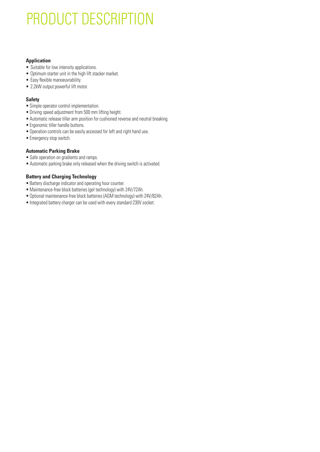# PRODUCT DESCRIPTION

#### **Application**

- Suitable for low intensity applications.
- Optimum starter unit in the high lift stacker market.
- Easy flexible manoeuvrability.
- 2.2kW output powerful lift motor.

#### **Safety**

- Simple operator control implementation.
- Driving speed adjustment from 500 mm lifting height.
- Automatic release tiller arm position for cushioned reverse and neutral breaking.
- Ergonomic tiller handle buttons.
- Operation controls can be easily accessed for left and right hand use.
- Emergency stop switch.

#### **Automatic Parking Brake**

- Safe operation on gradients and ramps.
- Automatic parking brake only released when the driving switch is activated.

#### **Battery and Charging Technology**

- Battery discharge indicator and operating hour counter.
- Maintenance-free block batteries (gel technology) with 24V/72Ah.
- Optional maintenance-free block batteries (AGM technology) with 24V/82Ah.
- Integrated battery charger can be used with every standard 230V socket.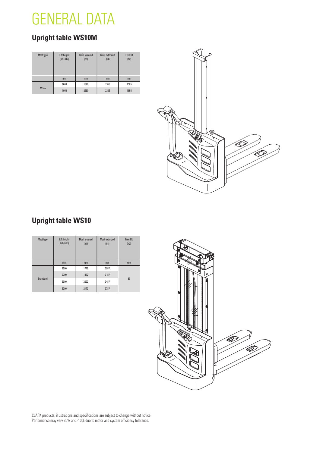

### **Upright table WS10M**

| Mast type | Lift height<br>$(h3+h13)$ | Mast lowered<br>(h1) | Mast extended<br>(h4) | Free lift<br>(h2) |
|-----------|---------------------------|----------------------|-----------------------|-------------------|
|           | mm                        | mm                   | mm                    | mm                |
|           | 1600                      | 1940                 | 1955                  | 1505              |
| Mono      | 1950                      | 2290                 | 2305                  | 1855              |



### **Upright table WS10**

| Mast type | Lift height<br>$(h3+h13)$ | <b>Mast lowered</b><br>(h1) | Mast extended<br>(h4) | Free lift<br>(h2) |  |
|-----------|---------------------------|-----------------------------|-----------------------|-------------------|--|
|           | mm                        | mm                          | mm                    | mm                |  |
|           | 2500                      | 1772                        | 2987                  |                   |  |
|           | 2700                      | 1872                        | 3187                  |                   |  |
| Standard  | 3000                      | 2022                        | 3487                  | 85                |  |
|           | 3300                      | 2172                        | 3787                  |                   |  |



CLARK products, illustrations and specifications are subject to change without notice. Performance may vary +5% and -10% due to motor and system efficiency tolerance.